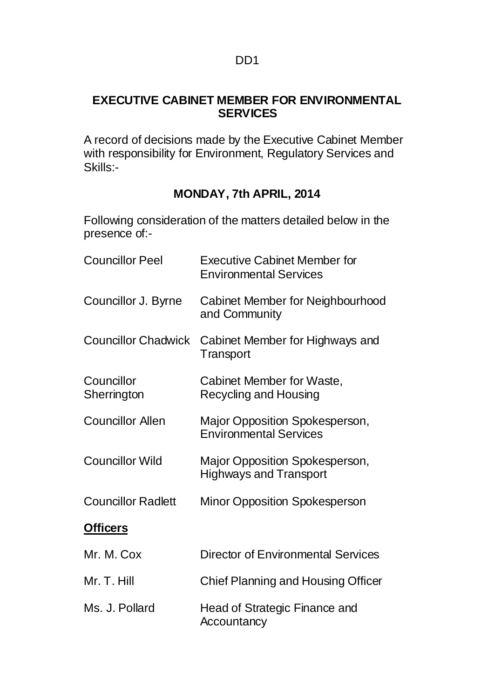## **EXECUTIVE CABINET MEMBER FOR ENVIRONMENTAL SERVICES**

A record of decisions made by the Executive Cabinet Member with responsibility for Environment, Regulatory Services and Skills:-

# **MONDAY, 7th APRIL, 2014**

Following consideration of the matters detailed below in the presence of:-

| <b>Councillor Peel</b>     | <b>Executive Cabinet Member for</b><br><b>Environmental Services</b> |
|----------------------------|----------------------------------------------------------------------|
| Councillor J. Byrne        | Cabinet Member for Neighbourhood<br>and Community                    |
| <b>Councillor Chadwick</b> | Cabinet Member for Highways and<br>Transport                         |
| Councillor<br>Sherrington  | Cabinet Member for Waste,<br>Recycling and Housing                   |
| <b>Councillor Allen</b>    | Major Opposition Spokesperson,<br><b>Environmental Services</b>      |
| <b>Councillor Wild</b>     | Major Opposition Spokesperson,<br><b>Highways and Transport</b>      |
| <b>Councillor Radlett</b>  | <b>Minor Opposition Spokesperson</b>                                 |
| <b>Officers</b>            |                                                                      |
| Mr. M. Cox                 | <b>Director of Environmental Services</b>                            |
| Mr. T. Hill                | <b>Chief Planning and Housing Officer</b>                            |
| Ms. J. Pollard             | Head of Strategic Finance and<br>Accountancy                         |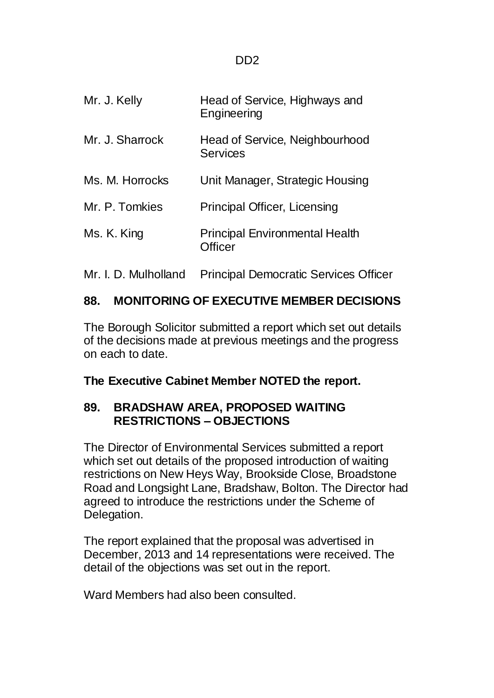| Mr. J. Kelly         | Head of Service, Highways and<br>Engineering            |
|----------------------|---------------------------------------------------------|
| Mr. J. Sharrock      | Head of Service, Neighbourhood<br><b>Services</b>       |
| Ms. M. Horrocks      | Unit Manager, Strategic Housing                         |
| Mr. P. Tomkies       | Principal Officer, Licensing                            |
| Ms. K. King          | <b>Principal Environmental Health</b><br><b>Officer</b> |
| Mr. I. D. Mulholland | <b>Principal Democratic Services Officer</b>            |

# **88. MONITORING OF EXECUTIVE MEMBER DECISIONS**

The Borough Solicitor submitted a report which set out details of the decisions made at previous meetings and the progress on each to date.

**The Executive Cabinet Member NOTED the report.**

# **89. BRADSHAW AREA, PROPOSED WAITING RESTRICTIONS – OBJECTIONS**

The Director of Environmental Services submitted a report which set out details of the proposed introduction of waiting restrictions on New Heys Way, Brookside Close, Broadstone Road and Longsight Lane, Bradshaw, Bolton. The Director had agreed to introduce the restrictions under the Scheme of Delegation.

The report explained that the proposal was advertised in December, 2013 and 14 representations were received. The detail of the objections was set out in the report.

Ward Members had also been consulted.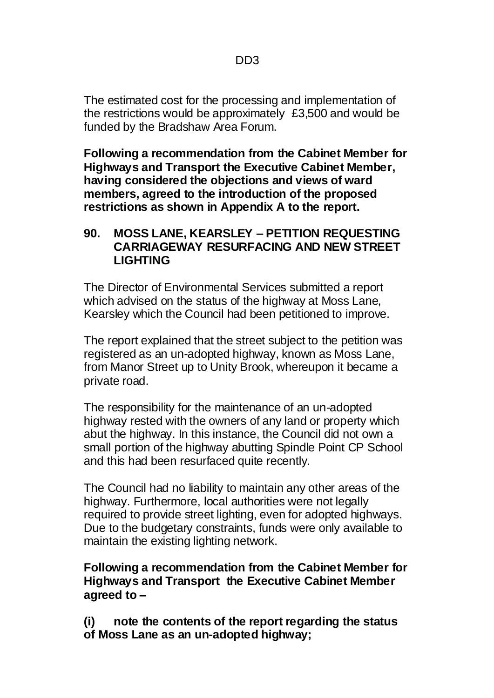The estimated cost for the processing and implementation of the restrictions would be approximately £3,500 and would be funded by the Bradshaw Area Forum.

**Following a recommendation from the Cabinet Member for Highways and Transport the Executive Cabinet Member, having considered the objections and views of ward members, agreed to the introduction of the proposed restrictions as shown in Appendix A to the report.** 

#### **90. MOSS LANE, KEARSLEY – PETITION REQUESTING CARRIAGEWAY RESURFACING AND NEW STREET LIGHTING**

The Director of Environmental Services submitted a report which advised on the status of the highway at Moss Lane, Kearsley which the Council had been petitioned to improve.

The report explained that the street subject to the petition was registered as an un-adopted highway, known as Moss Lane, from Manor Street up to Unity Brook, whereupon it became a private road.

The responsibility for the maintenance of an un-adopted highway rested with the owners of any land or property which abut the highway. In this instance, the Council did not own a small portion of the highway abutting Spindle Point CP School and this had been resurfaced quite recently.

The Council had no liability to maintain any other areas of the highway. Furthermore, local authorities were not legally required to provide street lighting, even for adopted highways. Due to the budgetary constraints, funds were only available to maintain the existing lighting network.

### **Following a recommendation from the Cabinet Member for Highways and Transport the Executive Cabinet Member agreed to –**

**(i) note the contents of the report regarding the status of Moss Lane as an un-adopted highway;**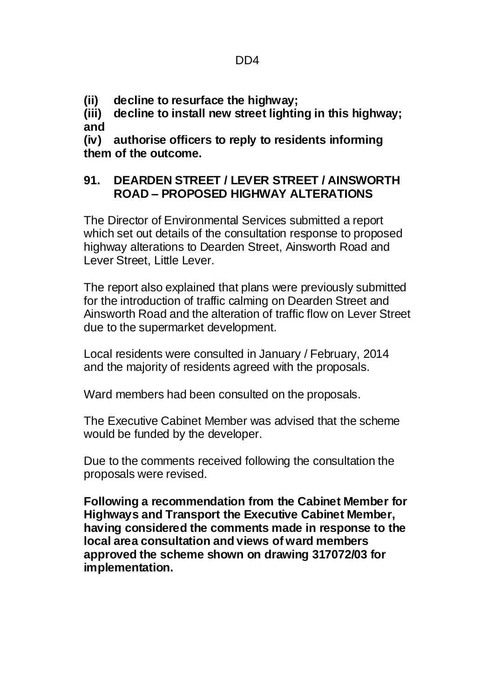**(ii) decline to resurface the highway;**

**(iii) decline to install new street lighting in this highway; and**

**(iv) authorise officers to reply to residents informing them of the outcome.** 

## **91. DEARDEN STREET / LEVER STREET / AINSWORTH ROAD – PROPOSED HIGHWAY ALTERATIONS**

The Director of Environmental Services submitted a report which set out details of the consultation response to proposed highway alterations to Dearden Street, Ainsworth Road and Lever Street, Little Lever.

The report also explained that plans were previously submitted for the introduction of traffic calming on Dearden Street and Ainsworth Road and the alteration of traffic flow on Lever Street due to the supermarket development.

Local residents were consulted in January / February, 2014 and the majority of residents agreed with the proposals.

Ward members had been consulted on the proposals.

The Executive Cabinet Member was advised that the scheme would be funded by the developer.

Due to the comments received following the consultation the proposals were revised.

**Following a recommendation from the Cabinet Member for Highways and Transport the Executive Cabinet Member, having considered the comments made in response to the local area consultation and views of ward members approved the scheme shown on drawing 317072/03 for implementation.**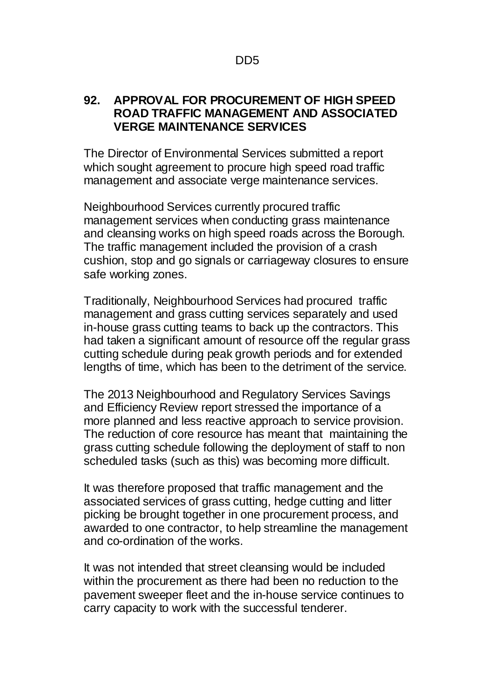#### **92. APPROVAL FOR PROCUREMENT OF HIGH SPEED ROAD TRAFFIC MANAGEMENT AND ASSOCIATED VERGE MAINTENANCE SERVICES**

The Director of Environmental Services submitted a report which sought agreement to procure high speed road traffic management and associate verge maintenance services.

Neighbourhood Services currently procured traffic management services when conducting grass maintenance and cleansing works on high speed roads across the Borough. The traffic management included the provision of a crash cushion, stop and go signals or carriageway closures to ensure safe working zones.

Traditionally, Neighbourhood Services had procured traffic management and grass cutting services separately and used in-house grass cutting teams to back up the contractors. This had taken a significant amount of resource off the regular grass cutting schedule during peak growth periods and for extended lengths of time, which has been to the detriment of the service.

The 2013 Neighbourhood and Regulatory Services Savings and Efficiency Review report stressed the importance of a more planned and less reactive approach to service provision. The reduction of core resource has meant that maintaining the grass cutting schedule following the deployment of staff to non scheduled tasks (such as this) was becoming more difficult.

It was therefore proposed that traffic management and the associated services of grass cutting, hedge cutting and litter picking be brought together in one procurement process, and awarded to one contractor, to help streamline the management and co-ordination of the works.

It was not intended that street cleansing would be included within the procurement as there had been no reduction to the pavement sweeper fleet and the in-house service continues to carry capacity to work with the successful tenderer.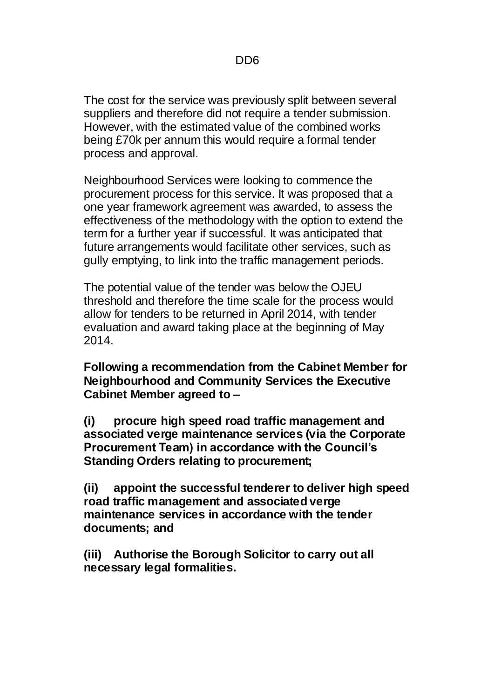The cost for the service was previously split between several suppliers and therefore did not require a tender submission. However, with the estimated value of the combined works being £70k per annum this would require a formal tender process and approval.

Neighbourhood Services were looking to commence the procurement process for this service. It was proposed that a one year framework agreement was awarded, to assess the effectiveness of the methodology with the option to extend the term for a further year if successful. It was anticipated that future arrangements would facilitate other services, such as gully emptying, to link into the traffic management periods.

The potential value of the tender was below the OJEU threshold and therefore the time scale for the process would allow for tenders to be returned in April 2014, with tender evaluation and award taking place at the beginning of May 2014.

**Following a recommendation from the Cabinet Member for Neighbourhood and Community Services the Executive Cabinet Member agreed to –**

**(i) procure high speed road traffic management and associated verge maintenance services (via the Corporate Procurement Team) in accordance with the Council's Standing Orders relating to procurement;**

**(ii) appoint the successful tenderer to deliver high speed road traffic management and associated verge maintenance services in accordance with the tender documents; and**

**(iii) Authorise the Borough Solicitor to carry out all necessary legal formalities.**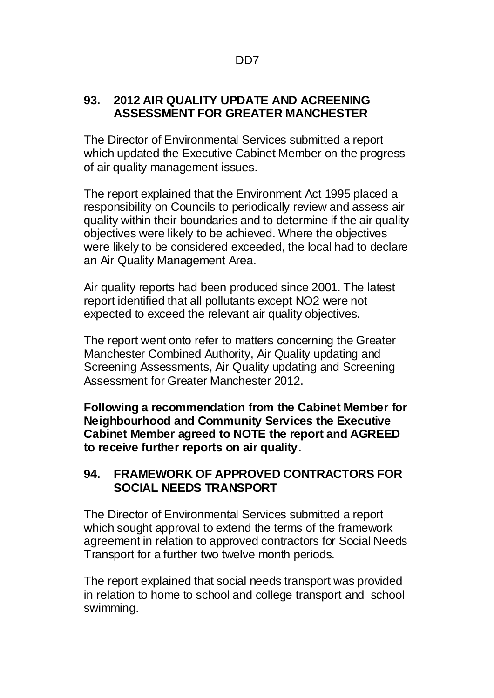### **93. 2012 AIR QUALITY UPDATE AND ACREENING ASSESSMENT FOR GREATER MANCHESTER**

The Director of Environmental Services submitted a report which updated the Executive Cabinet Member on the progress of air quality management issues.

The report explained that the Environment Act 1995 placed a responsibility on Councils to periodically review and assess air quality within their boundaries and to determine if the air quality objectives were likely to be achieved. Where the objectives were likely to be considered exceeded, the local had to declare an Air Quality Management Area.

Air quality reports had been produced since 2001. The latest report identified that all pollutants except NO2 were not expected to exceed the relevant air quality objectives.

The report went onto refer to matters concerning the Greater Manchester Combined Authority, Air Quality updating and Screening Assessments, Air Quality updating and Screening Assessment for Greater Manchester 2012.

**Following a recommendation from the Cabinet Member for Neighbourhood and Community Services the Executive Cabinet Member agreed to NOTE the report and AGREED to receive further reports on air quality.**

# **94. FRAMEWORK OF APPROVED CONTRACTORS FOR SOCIAL NEEDS TRANSPORT**

The Director of Environmental Services submitted a report which sought approval to extend the terms of the framework agreement in relation to approved contractors for Social Needs Transport for a further two twelve month periods.

The report explained that social needs transport was provided in relation to home to school and college transport and school swimming.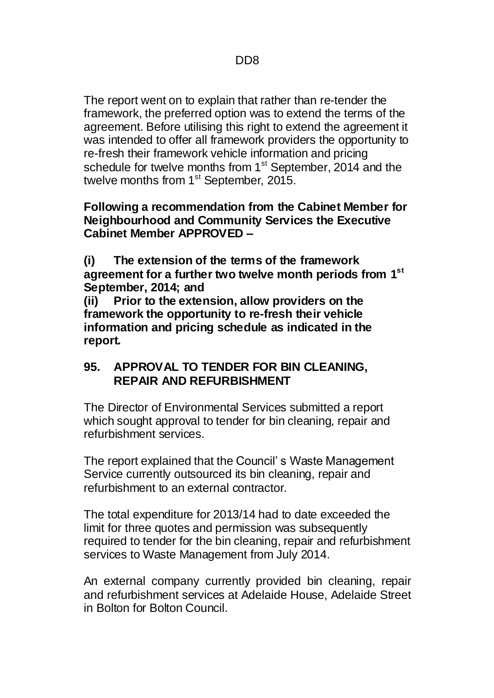The report went on to explain that rather than re-tender the framework, the preferred option was to extend the terms of the agreement. Before utilising this right to extend the agreement it was intended to offer all framework providers the opportunity to re-fresh their framework vehicle information and pricing schedule for twelve months from 1<sup>st</sup> September, 2014 and the twelve months from 1<sup>st</sup> September, 2015.

#### **Following a recommendation from the Cabinet Member for Neighbourhood and Community Services the Executive Cabinet Member APPROVED –**

**(i) The extension of the terms of the framework agreement for a further two twelve month periods from 1st September, 2014; and**

**(ii) Prior to the extension, allow providers on the framework the opportunity to re-fresh their vehicle information and pricing schedule as indicated in the report.** 

## **95. APPROVAL TO TENDER FOR BIN CLEANING, REPAIR AND REFURBISHMENT**

The Director of Environmental Services submitted a report which sought approval to tender for bin cleaning, repair and refurbishment services.

The report explained that the Council' s Waste Management Service currently outsourced its bin cleaning, repair and refurbishment to an external contractor.

The total expenditure for 2013/14 had to date exceeded the limit for three quotes and permission was subsequently required to tender for the bin cleaning, repair and refurbishment services to Waste Management from July 2014.

An external company currently provided bin cleaning, repair and refurbishment services at Adelaide House, Adelaide Street in Bolton for Bolton Council.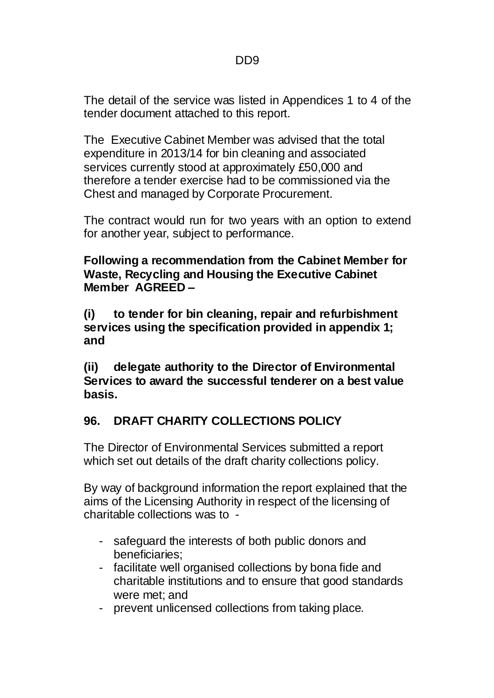The detail of the service was listed in Appendices 1 to 4 of the tender document attached to this report.

The Executive Cabinet Member was advised that the total expenditure in 2013/14 for bin cleaning and associated services currently stood at approximately £50,000 and therefore a tender exercise had to be commissioned via the Chest and managed by Corporate Procurement.

The contract would run for two years with an option to extend for another year, subject to performance.

**Following a recommendation from the Cabinet Member for Waste, Recycling and Housing the Executive Cabinet Member AGREED –**

**(i) to tender for bin cleaning, repair and refurbishment services using the specification provided in appendix 1; and**

**(ii) delegate authority to the Director of Environmental Services to award the successful tenderer on a best value basis.**

# **96. DRAFT CHARITY COLLECTIONS POLICY**

The Director of Environmental Services submitted a report which set out details of the draft charity collections policy.

By way of background information the report explained that the aims of the Licensing Authority in respect of the licensing of charitable collections was to -

- safeguard the interests of both public donors and beneficiaries;
- facilitate well organised collections by bona fide and charitable institutions and to ensure that good standards were met; and
- prevent unlicensed collections from taking place.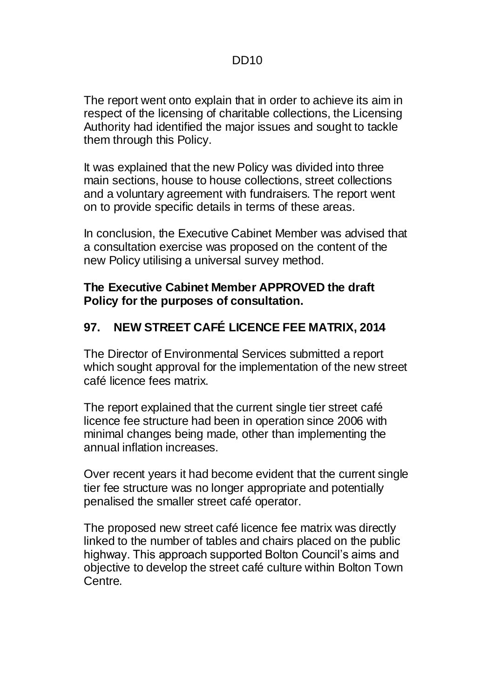The report went onto explain that in order to achieve its aim in respect of the licensing of charitable collections, the Licensing Authority had identified the major issues and sought to tackle them through this Policy.

It was explained that the new Policy was divided into three main sections, house to house collections, street collections and a voluntary agreement with fundraisers. The report went on to provide specific details in terms of these areas.

In conclusion, the Executive Cabinet Member was advised that a consultation exercise was proposed on the content of the new Policy utilising a universal survey method.

### **The Executive Cabinet Member APPROVED the draft Policy for the purposes of consultation.**

# **97. NEW STREET CAFÉ LICENCE FEE MATRIX, 2014**

The Director of Environmental Services submitted a report which sought approval for the implementation of the new street café licence fees matrix.

The report explained that the current single tier street café licence fee structure had been in operation since 2006 with minimal changes being made, other than implementing the annual inflation increases.

Over recent years it had become evident that the current single tier fee structure was no longer appropriate and potentially penalised the smaller street café operator.

The proposed new street café licence fee matrix was directly linked to the number of tables and chairs placed on the public highway. This approach supported Bolton Council's aims and objective to develop the street café culture within Bolton Town Centre.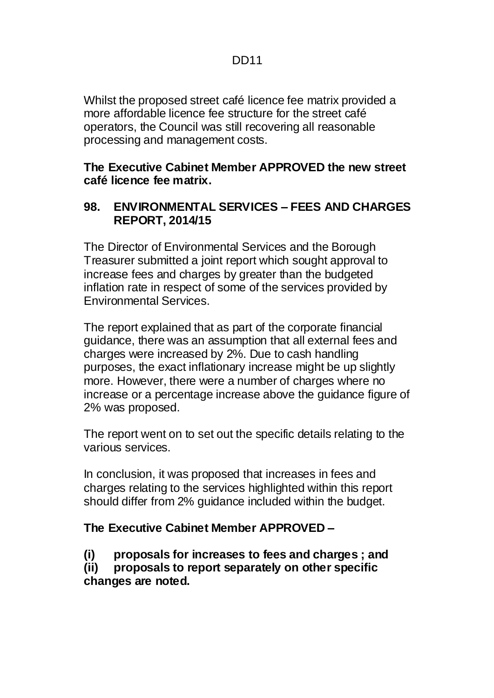Whilst the proposed street café licence fee matrix provided a more affordable licence fee structure for the street café operators, the Council was still recovering all reasonable processing and management costs.

### **The Executive Cabinet Member APPROVED the new street café licence fee matrix.**

### **98. ENVIRONMENTAL SERVICES – FEES AND CHARGES REPORT, 2014/15**

The Director of Environmental Services and the Borough Treasurer submitted a joint report which sought approval to increase fees and charges by greater than the budgeted inflation rate in respect of some of the services provided by Environmental Services.

The report explained that as part of the corporate financial guidance, there was an assumption that all external fees and charges were increased by 2%. Due to cash handling purposes, the exact inflationary increase might be up slightly more. However, there were a number of charges where no increase or a percentage increase above the guidance figure of 2% was proposed.

The report went on to set out the specific details relating to the various services.

In conclusion, it was proposed that increases in fees and charges relating to the services highlighted within this report should differ from 2% guidance included within the budget.

### **The Executive Cabinet Member APPROVED –**

- **(i) proposals for increases to fees and charges ; and**
- **(ii) proposals to report separately on other specific changes are noted.**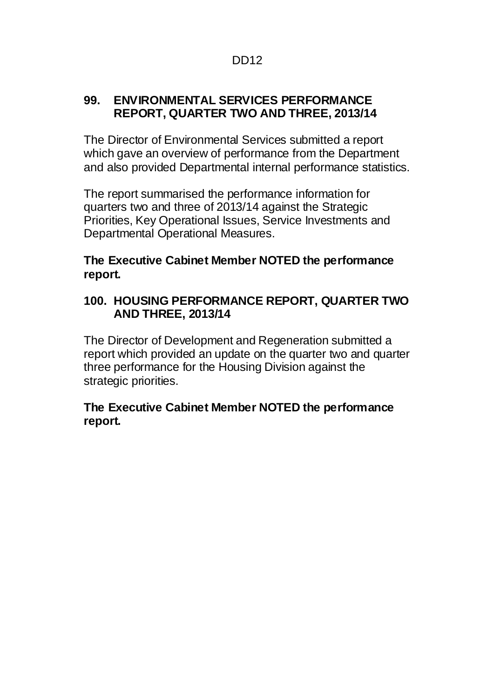### **99. ENVIRONMENTAL SERVICES PERFORMANCE REPORT, QUARTER TWO AND THREE, 2013/14**

The Director of Environmental Services submitted a report which gave an overview of performance from the Department and also provided Departmental internal performance statistics.

The report summarised the performance information for quarters two and three of 2013/14 against the Strategic Priorities, Key Operational Issues, Service Investments and Departmental Operational Measures.

## **The Executive Cabinet Member NOTED the performance report.**

## **100. HOUSING PERFORMANCE REPORT, QUARTER TWO AND THREE, 2013/14**

The Director of Development and Regeneration submitted a report which provided an update on the quarter two and quarter three performance for the Housing Division against the strategic priorities.

## **The Executive Cabinet Member NOTED the performance report.**